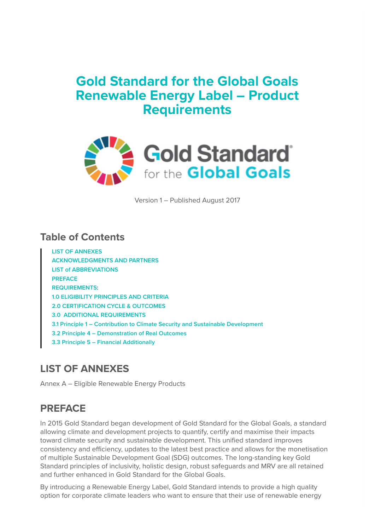# **Gold Standard for the Global Goals Renewable Energy Label – Product Requirements**



Version 1 – Published August 2017

#### **Table of Contents**

**[LIST OF ANNEXES](https://globalgoals.goldstandard.org/2152/#_Toc480368435) [ACKNOWLEDGMENTS AND PARTNERS](https://globalgoals.goldstandard.org/2152/#_Toc480368436) [LIST of ABBREVIATIONS](https://globalgoals.goldstandard.org/2152/#_Toc480368437) [PREFACE](https://globalgoals.goldstandard.org/2152/#_Toc480368438) [REQUIREMENTS:](https://globalgoals.goldstandard.org/2152/#_Toc480368439) [1.0 ELIGIBILITY PRINCIPLES AND CRITERIA](https://globalgoals.goldstandard.org/2152/#_Toc480368440) [2.0 CERTIFICATION CYCLE & OUTCOMES](https://globalgoals.goldstandard.org/2152/#_Toc480368441) [3.0 ADDITIONAL REQUIREMENTS](https://globalgoals.goldstandard.org/2152/#_Toc480368442) [3.1 Principle 1 – Contribution to Climate Security and Sustainable Development](https://globalgoals.goldstandard.org/2152/#_Toc480368444) [3.2 Principle 4 – Demonstration of Real Outcomes](https://globalgoals.goldstandard.org/2152/#_Toc480368445) [3.3 Principle 5 – Financial Additionally](https://globalgoals.goldstandard.org/2152/#_Toc480368446)**

# **LIST OF ANNEXES**

Annex A – Eligible Renewable Energy Products

### **PREFACE**

In 2015 Gold Standard began development of Gold Standard for the Global Goals, a standard allowing climate and development projects to quantify, certify and maximise their impacts toward climate security and sustainable development. This unified standard improves consistency and efficiency, updates to the latest best practice and allows for the monetisation of multiple Sustainable Development Goal (SDG) outcomes. The long-standing key Gold Standard principles of inclusivity, holistic design, robust safeguards and MRV are all retained and further enhanced in Gold Standard for the Global Goals.

By introducing a Renewable Energy Label, Gold Standard intends to provide a high quality option for corporate climate leaders who want to ensure that their use of renewable energy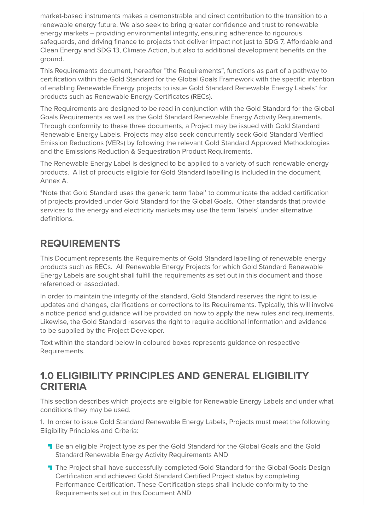market-based instruments makes a demonstrable and direct contribution to the transition to a renewable energy future. We also seek to bring greater confidence and trust to renewable energy markets – providing environmental integrity, ensuring adherence to rigourous safeguards, and driving finance to projects that deliver impact not just to SDG 7, Affordable and Clean Energy and SDG 13, Climate Action, but also to additional development benefits on the ground.

This Requirements document, hereafter "the Requirements", functions as part of a pathway to certification within the Gold Standard for the Global Goals Framework with the specific intention of enabling Renewable Energy projects to issue Gold Standard Renewable Energy Labels\* for products such as Renewable Energy Certificates (RECs).

The Requirements are designed to be read in conjunction with the Gold Standard for the Global Goals Requirements as well as the Gold Standard Renewable Energy Activity Requirements. Through conformity to these three documents, a Project may be issued with Gold Standard Renewable Energy Labels. Projects may also seek concurrently seek Gold Standard Verified Emission Reductions (VERs) by following the relevant Gold Standard Approved Methodologies and the Emissions Reduction & Sequestration Product Requirements.

The Renewable Energy Label is designed to be applied to a variety of such renewable energy products. A list of products eligible for Gold Standard labelling is included in the document, Annex A.

\*Note that Gold Standard uses the generic term 'label' to communicate the added certification of projects provided under Gold Standard for the Global Goals. Other standards that provide services to the energy and electricity markets may use the term 'labels' under alternative definitions.

### **REQUIREMENTS**

This Document represents the Requirements of Gold Standard labelling of renewable energy products such as RECs. All Renewable Energy Projects for which Gold Standard Renewable Energy Labels are sought shall fulfill the requirements as set out in this document and those referenced or associated.

In order to maintain the integrity of the standard, Gold Standard reserves the right to issue updates and changes, clarifications or corrections to its Requirements. Typically, this will involve a notice period and guidance will be provided on how to apply the new rules and requirements. Likewise, the Gold Standard reserves the right to require additional information and evidence to be supplied by the Project Developer.

Text within the standard below in coloured boxes represents guidance on respective Requirements.

### **1.0 ELIGIBILITY PRINCIPLES AND GENERAL ELIGIBILITY CRITERIA**

This section describes which projects are eligible for Renewable Energy Labels and under what conditions they may be used.

1. In order to issue Gold Standard Renewable Energy Labels, Projects must meet the following Eligibility Principles and Criteria:

- **Be an eligible Project type as per the Gold Standard for the Global Goals and the Gold** Standard Renewable Energy Activity Requirements AND
- **T** The Project shall have successfully completed Gold Standard for the Global Goals Design Certification and achieved Gold Standard Certified Project status by completing Performance Certification. These Certification steps shall include conformity to the Requirements set out in this Document AND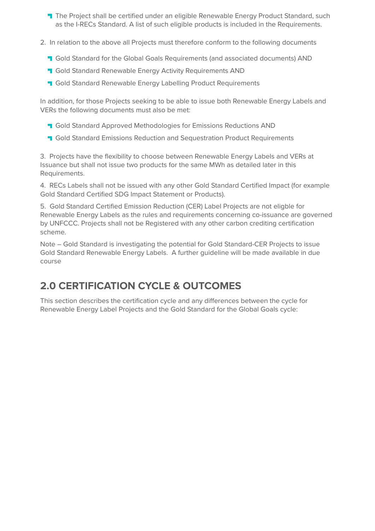- **T** The Project shall be certified under an eligible Renewable Energy Product Standard, such as the I-RECs Standard. A list of such eligible products is included in the Requirements.
- 2. In relation to the above all Projects must therefore conform to the following documents
	- Gold Standard for the Global Goals Requirements (and associated documents) AND
	- **Gold Standard Renewable Energy Activity Requirements AND**
	- **Gold Standard Renewable Energy Labelling Product Requirements**

In addition, for those Projects seeking to be able to issue both Renewable Energy Labels and VERs the following documents must also be met:

- **T** Gold Standard Approved Methodologies for Emissions Reductions AND
- **T** Gold Standard Emissions Reduction and Sequestration Product Requirements

3. Projects have the flexibility to choose between Renewable Energy Labels and VERs at Issuance but shall not issue two products for the same MWh as detailed later in this Requirements.

4. RECs Labels shall not be issued with any other Gold Standard Certified Impact (for example Gold Standard Certified SDG Impact Statement or Products).

5. Gold Standard Certified Emission Reduction (CER) Label Projects are not eligble for Renewable Energy Labels as the rules and requirements concerning co-issuance are governed by UNFCCC. Projects shall not be Registered with any other carbon crediting certification scheme.

Note – Gold Standard is investigating the potential for Gold Standard-CER Projects to issue Gold Standard Renewable Energy Labels. A further guideline will be made available in due course

# **2.0 CERTIFICATION CYCLE & OUTCOMES**

This section describes the certification cycle and any differences between the cycle for Renewable Energy Label Projects and the Gold Standard for the Global Goals cycle: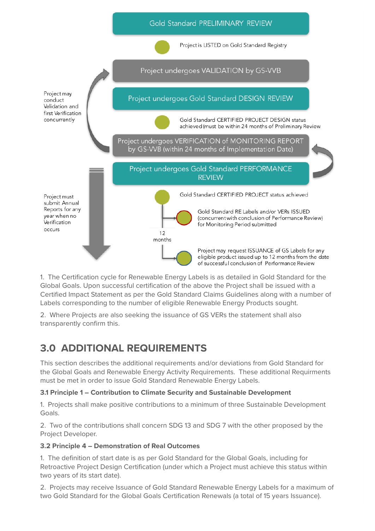

1. The Certification cycle for Renewable Energy Labels is as detailed in Gold Standard for the Global Goals. Upon successful certification of the above the Project shall be issued with a Certified Impact Statement as per the Gold Standard Claims Guidelines along with a number of Labels corresponding to the number of eligible Renewable Energy Products sought.

2. Where Projects are also seeking the issuance of GS VERs the statement shall also transparently confirm this.

# **3.0 ADDITIONAL REQUIREMENTS**

This section describes the additional requirements and/or deviations from Gold Standard for the Global Goals and Renewable Energy Activity Requirements. These additional Requirments must be met in order to issue Gold Standard Renewable Energy Labels.

#### **3.1 Principle 1 – Contribution to Climate Security and Sustainable Development**

1. Projects shall make positive contributions to a minimum of three Sustainable Development Goals.

2. Two of the contributions shall concern SDG 13 and SDG 7 with the other proposed by the Project Developer.

#### **3.2 Principle 4 – Demonstration of Real Outcomes**

1. The definition of start date is as per Gold Standard for the Global Goals, including for Retroactive Project Design Certification (under which a Project must achieve this status within two years of its start date).

2. Projects may receive Issuance of Gold Standard Renewable Energy Labels for a maximum of two Gold Standard for the Global Goals Certification Renewals (a total of 15 years Issuance).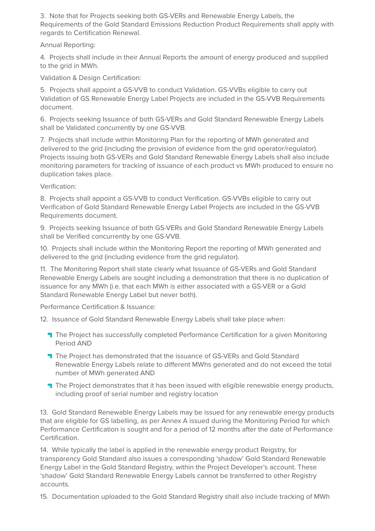3. Note that for Projects seeking both GS-VERs and Renewable Energy Labels, the Requirements of the Gold Standard Emissions Reduction Product Requirements shall apply with regards to Certification Renewal.

Annual Reporting:

4. Projects shall include in their Annual Reports the amount of energy produced and supplied to the grid in MWh.

Validation & Design Certification:

5. Projects shall appoint a GS-VVB to conduct Validation. GS-VVBs eligible to carry out Validation of GS Renewable Energy Label Projects are included in the GS-VVB Requirements document.

6. Projects seeking Issuance of both GS-VERs and Gold Standard Renewable Energy Labels shall be Validated concurrently by one GS-VVB.

7. Projects shall include within Monitoring Plan for the reporting of MWh generated and delivered to the grid (including the provision of evidence from the grid operator/regulator). Projects issuing both GS-VERs and Gold Standard Renewable Energy Labels shall also include monitoring parameters for tracking of issuance of each product vs MWh produced to ensure no duplication takes place.

Verification:

8. Projects shall appoint a GS-VVB to conduct Verification. GS-VVBs eligible to carry out Verification of Gold Standard Renewable Energy Label Projects are included in the GS-VVB Requirements document.

9. Projects seeking Issuance of both GS-VERs and Gold Standard Renewable Energy Labels shall be Verified concurrently by one GS-VVB.

10. Projects shall include within the Monitoring Report the reporting of MWh generated and delivered to the grid (including evidence from the grid regulator).

11. The Monitoring Report shall state clearly what Issuance of GS-VERs and Gold Standard Renewable Energy Labels are sought including a demonstration that there is no duplication of issuance for any MWh (i.e. that each MWh is either associated with a GS-VER or a Gold Standard Renewable Energy Label but never both).

Performance Certification & Issuance:

12. Issuance of Gold Standard Renewable Energy Labels shall take place when:

- **T** The Project has successfully completed Performance Certification for a given Monitoring Period AND
- The Project has demonstrated that the issuance of GS-VERs and Gold Standard Renewable Energy Labels relate to different MWhs generated and do not exceed the total number of MWh generated AND
- The Project demonstrates that it has been issued with eligible renewable energy products, including proof of serial number and registry location

13. Gold Standard Renewable Energy Labels may be issued for any renewable energy products that are eligible for GS labelling, as per Annex A issued during the Monitoring Period for which Performance Certification is sought and for a period of 12 months after the date of Performance Certification.

14. While typically the label is applied in the renewable energy product Reigstry, for transparency Gold Standard also issues a corresponding 'shadow' Gold Standard Renewable Energy Label in the Gold Standard Registry, within the Project Developer's account. These 'shadow' Gold Standard Renewable Energy Labels cannot be transferred to other Registry accounts.

15. Documentation uploaded to the Gold Standard Registry shall also include tracking of MWh